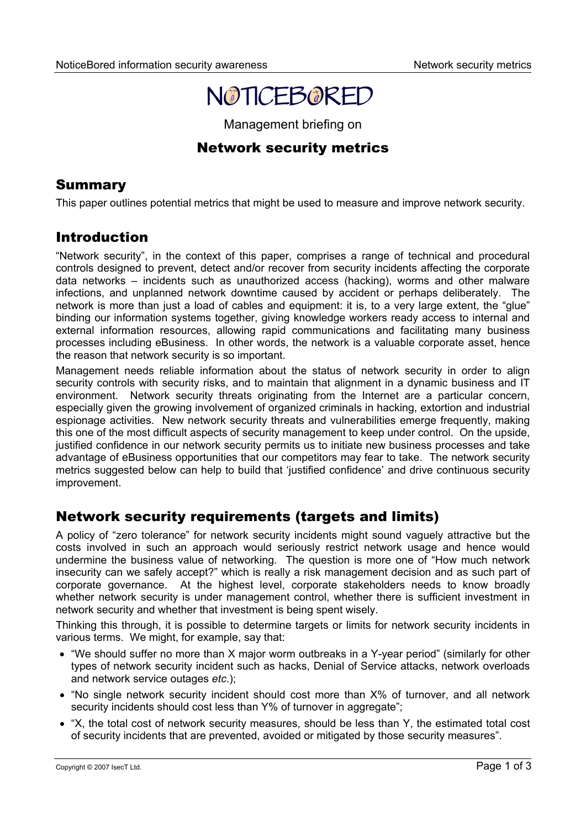

Management briefing on

# Network security metrics

# **Summary**

This paper outlines potential metrics that might be used to measure and improve network security.

# Introduction

"Network security", in the context of this paper, comprises a range of technical and procedural controls designed to prevent, detect and/or recover from security incidents affecting the corporate data networks – incidents such as unauthorized access (hacking), worms and other malware infections, and unplanned network downtime caused by accident or perhaps deliberately. The network is more than just a load of cables and equipment: it is, to a very large extent, the "glue" binding our information systems together, giving knowledge workers ready access to internal and external information resources, allowing rapid communications and facilitating many business processes including eBusiness. In other words, the network is a valuable corporate asset, hence the reason that network security is so important.

Management needs reliable information about the status of network security in order to align security controls with security risks, and to maintain that alignment in a dynamic business and IT environment. Network security threats originating from the Internet are a particular concern, especially given the growing involvement of organized criminals in hacking, extortion and industrial espionage activities. New network security threats and vulnerabilities emerge frequently, making this one of the most difficult aspects of security management to keep under control. On the upside, justified confidence in our network security permits us to initiate new business processes and take advantage of eBusiness opportunities that our competitors may fear to take. The network security metrics suggested below can help to build that 'justified confidence' and drive continuous security improvement.

# Network security requirements (targets and limits)

A policy of "zero tolerance" for network security incidents might sound vaguely attractive but the costs involved in such an approach would seriously restrict network usage and hence would undermine the business value of networking. The question is more one of "How much network insecurity can we safely accept?" which is really a risk management decision and as such part of corporate governance. At the highest level, corporate stakeholders needs to know broadly whether network security is under management control, whether there is sufficient investment in network security and whether that investment is being spent wisely.

Thinking this through, it is possible to determine targets or limits for network security incidents in various terms. We might, for example, say that:

- "We should suffer no more than X major worm outbreaks in a Y-year period" (similarly for other types of network security incident such as hacks, Denial of Service attacks, network overloads and network service outages *etc*.);
- "No single network security incident should cost more than X% of turnover, and all network security incidents should cost less than Y% of turnover in aggregate";
- "X, the total cost of network security measures, should be less than Y, the estimated total cost of security incidents that are prevented, avoided or mitigated by those security measures".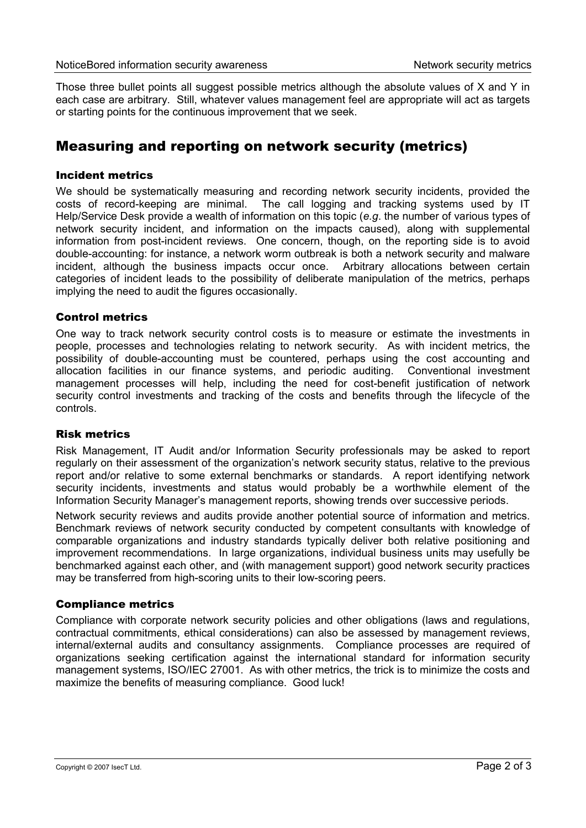Those three bullet points all suggest possible metrics although the absolute values of X and Y in each case are arbitrary. Still, whatever values management feel are appropriate will act as targets or starting points for the continuous improvement that we seek.

### Measuring and reporting on network security (metrics)

#### Incident metrics

We should be systematically measuring and recording network security incidents, provided the costs of record-keeping are minimal. The call logging and tracking systems used by IT Help/Service Desk provide a wealth of information on this topic (*e.g*. the number of various types of network security incident, and information on the impacts caused), along with supplemental information from post-incident reviews. One concern, though, on the reporting side is to avoid double-accounting: for instance, a network worm outbreak is both a network security and malware incident, although the business impacts occur once. Arbitrary allocations between certain categories of incident leads to the possibility of deliberate manipulation of the metrics, perhaps implying the need to audit the figures occasionally.

### Control metrics

One way to track network security control costs is to measure or estimate the investments in people, processes and technologies relating to network security. As with incident metrics, the possibility of double-accounting must be countered, perhaps using the cost accounting and allocation facilities in our finance systems, and periodic auditing. Conventional investment management processes will help, including the need for cost-benefit justification of network security control investments and tracking of the costs and benefits through the lifecycle of the controls.

#### Risk metrics

Risk Management, IT Audit and/or Information Security professionals may be asked to report regularly on their assessment of the organization's network security status, relative to the previous report and/or relative to some external benchmarks or standards. A report identifying network security incidents, investments and status would probably be a worthwhile element of the Information Security Manager's management reports, showing trends over successive periods.

Network security reviews and audits provide another potential source of information and metrics. Benchmark reviews of network security conducted by competent consultants with knowledge of comparable organizations and industry standards typically deliver both relative positioning and improvement recommendations. In large organizations, individual business units may usefully be benchmarked against each other, and (with management support) good network security practices may be transferred from high-scoring units to their low-scoring peers.

### Compliance metrics

Compliance with corporate network security policies and other obligations (laws and regulations, contractual commitments, ethical considerations) can also be assessed by management reviews, internal/external audits and consultancy assignments. Compliance processes are required of organizations seeking certification against the international standard for information security management systems, ISO/IEC 27001. As with other metrics, the trick is to minimize the costs and maximize the benefits of measuring compliance. Good luck!